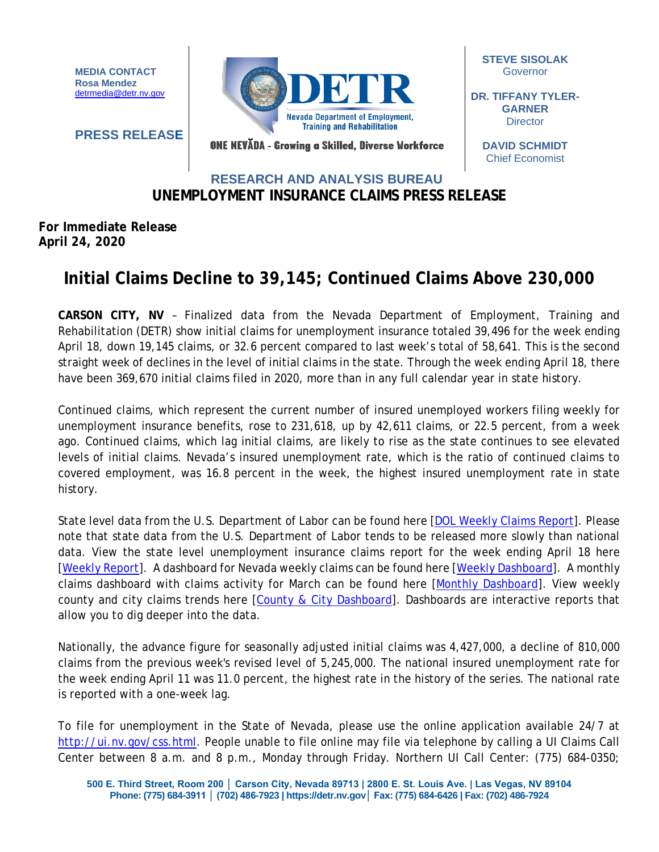**MEDIA CONTACT Rosa Mendez** [detrmedia@detr.nv.gov](mailto:detrmedia@detr.nv.gov)

**PRESS RELEASE**



**STEVE SISOLAK** Governor

**DR. TIFFANY TYLER-GARNER Director** 

ONE NEVĂDA - Growing a Skilled, Diverse Workforce

**DAVID SCHMIDT** Chief Economist

## **UNEMPLOYMENT INSURANCE CLAIMS PRESS RELEASE RESEARCH AND ANALYSIS BUREAU**

## **For Immediate Release April 24, 2020**

## **Initial Claims Decline to 39,145; Continued Claims Above 230,000**

**CARSON CITY, NV** – Finalized data from the Nevada Department of Employment, Training and Rehabilitation (DETR) show initial claims for unemployment insurance totaled 39,496 for the week ending April 18, down 19,145 claims, or 32.6 percent compared to last week's total of 58,641. This is the second straight week of declines in the level of initial claims in the state. Through the week ending April 18, there have been 369,670 initial claims filed in 2020, more than in any full calendar year in state history.

Continued claims, which represent the current number of insured unemployed workers filing weekly for unemployment insurance benefits, rose to 231,618, up by 42,611 claims, or 22.5 percent, from a week ago. Continued claims, which lag initial claims, are likely to rise as the state continues to see elevated levels of initial claims. Nevada's insured unemployment rate, which is the ratio of continued claims to covered employment, was 16.8 percent in the week, the highest insured unemployment rate in state history.

State level data from the U.S. Department of Labor can be found here [\[DOL Weekly Claims Report\]](https://oui.doleta.gov/unemploy/claims_arch.asp). Please note that state data from the U.S. Department of Labor tends to be released more slowly than national data. View the state level unemployment insurance claims report for the week ending April 18 here [\[Weekly Report\]](http://nvlmi.mt.gov/Portals/197/UI%20Monthly%20Claims%20Press%20Release/Dashboards/State%20of%20Nevada%20UI%20Weekly%20Filing%20Report.pdf). A dashboard for Nevada weekly claims can be found here [\[Weekly Dashboard\]](http://nvlmi.mt.gov/Portals/197/UI%20Monthly%20Claims%20Press%20Release/Dashboards/UIWeeklyDashboard.html). A monthly claims dashboard with claims activity for March can be found here [\[Monthly Dashboard\]](http://nvlmi.mt.gov/Portals/197/UI%20Monthly%20Claims%20Press%20Release/Dashboards/UIMonthlyDashboard.html). View weekly county and city claims trends here [\[County & City Dashboard\]](http://nvlmi.mt.gov/Portals/197/UI%20Monthly%20Claims%20Press%20Release/Dashboards/UIClaimsbyArea.html). Dashboards are interactive reports that allow you to dig deeper into the data.

Nationally, the advance figure for seasonally adjusted initial claims was 4,427,000, a decline of 810,000 claims from the previous week's revised level of 5,245,000. The national insured unemployment rate for the week ending April 11 was 11.0 percent, the highest rate in the history of the series. The national rate is reported with a one-week lag.

To file for unemployment in the State of Nevada, please use the online application available 24/7 at [http://ui.nv.gov/css.html.](http://ui.nv.gov/css.html) People unable to file online may file via telephone by calling a UI Claims Call Center between 8 a.m. and 8 p.m., Monday through Friday. Northern UI Call Center: (775) 684-0350;